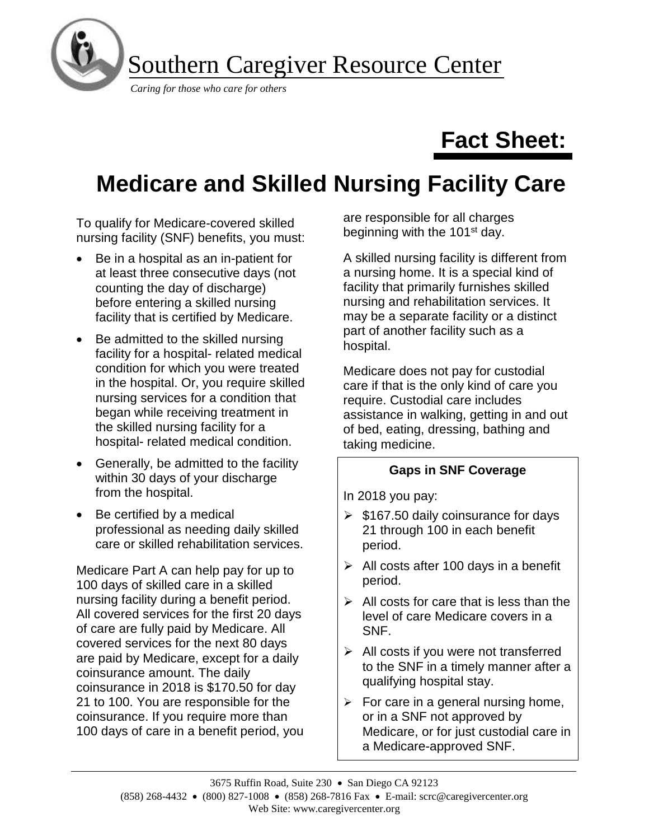

# **Fact Sheet:**

# **Medicare and Skilled Nursing Facility Care**

To qualify for Medicare-covered skilled nursing facility (SNF) benefits, you must:

- Be in a hospital as an in-patient for at least three consecutive days (not counting the day of discharge) before entering a skilled nursing facility that is certified by Medicare.
- Be admitted to the skilled nursing facility for a hospital- related medical condition for which you were treated in the hospital. Or, you require skilled nursing services for a condition that began while receiving treatment in the skilled nursing facility for a hospital- related medical condition.
- Generally, be admitted to the facility within 30 days of your discharge from the hospital.
- Be certified by a medical professional as needing daily skilled care or skilled rehabilitation services.

Medicare Part A can help pay for up to 100 days of skilled care in a skilled nursing facility during a benefit period. All covered services for the first 20 days of care are fully paid by Medicare. All covered services for the next 80 days are paid by Medicare, except for a daily coinsurance amount. The daily coinsurance in 2018 is \$170.50 for day 21 to 100. You are responsible for the coinsurance. If you require more than 100 days of care in a benefit period, you are responsible for all charges beginning with the 101<sup>st</sup> day.

A skilled nursing facility is different from a nursing home. It is a special kind of facility that primarily furnishes skilled nursing and rehabilitation services. It may be a separate facility or a distinct part of another facility such as a hospital.

Medicare does not pay for custodial care if that is the only kind of care you require. Custodial care includes assistance in walking, getting in and out of bed, eating, dressing, bathing and taking medicine.

### **Gaps in SNF Coverage**

In 2018 you pay:

- $\geq$  \$167.50 daily coinsurance for days 21 through 100 in each benefit period.
- $\triangleright$  All costs after 100 days in a benefit period.
- $\triangleright$  All costs for care that is less than the level of care Medicare covers in a SNF.
- $\triangleright$  All costs if you were not transferred to the SNF in a timely manner after a qualifying hospital stay.
- $\triangleright$  For care in a general nursing home, or in a SNF not approved by Medicare, or for just custodial care in a Medicare-approved SNF.